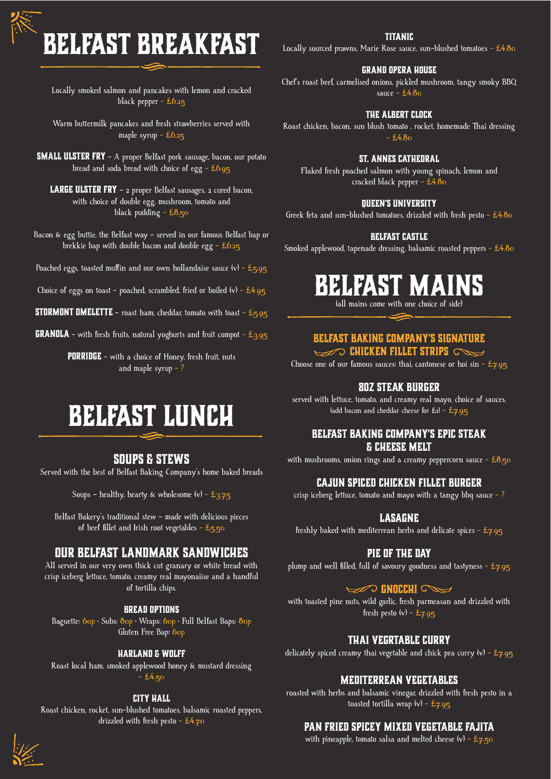# **BELFAST BREAKFAST**

Locally smoked salmon and pancakes with lemon and cracked black pepper - £6.25

Warm buttermilk pancakes and fresh strawberries served with maple syrup  $-$  £6.25

**SMALL ULSTER FRY** - A proper Belfast pork sausage, bacon, our potato bread and soda bread with choice of egg - £6.95

**LARGE ULSTER FRY** - 2 proper Belfast sausages, 2 cured bacon, with choice of double egg, mushroom, tomato and black pudding  $-$  £8.50

Bacon & egg buttie, the Belfast way – served in our famous Belfast bap or brekkie bap with double bacon and double egg - £6.25

Poached eggs, toasted muffin and our own hollandaise sauce  $(v)$  - £5.95

Choice of eggs on toast - poached, scrambled, fried or boiled  $(v)$  - £4.95

**STORMONT OMELETTE** – roast ham, cheddar, tomato with toast –  $E_5.95$ 

**GRANOLA** - with fresh fruits, natural yoghurts and fruit compot -  $£3.95$ 

**PORRIDGE** - with a choice of Honey, fresh fruit, nuts and maple syrup - ?

### **BELFAST LUNCH**

#### **Soups & stews**

Served with the best of Belfast Baking Company's home baked breads

Soups – healthy, hearty & wholesome  $(v)$  –  $E_{3.75}$ 

Belfast Bakery's traditional stew – made with delicious pieces of beef fillet and Irish root vegetables - £5.50

#### **Our belfast landmark sandwiches**

All served in our very own thick cut granary or white bread with crisp iceberg lettuce, tomato, creamy real mayonaiise and a handful of tortilla chips.

#### **Bread Options**

Baguette: 60p · Subs: 80p · Wraps: 60p · Full Belfast Baps: 80p Gluten Free Bap: 60p

#### **Harland & Wolff**

Roast local ham, smoked applewood honey & mustard dressing  $-24.50$ 

#### **City Hall**

Roast chicken, rocket, sun-blushed tomatoes, balsamic roasted peppers, drizzled with fresh pesto - £4.70

#### **Titanic**

Locally sourced prawns, Marie Rose sauce, sun-blushed tomatoes -  $£4.80$ 

#### **Grand opera house**

Chef's roast beef, carmelised onions, pickled mushroom, tangy smoky BBQ sauce  $-$  £4.80

#### **The albert clock**

Roast chicken, bacon, sun blush tomato , rocket, homemade Thai dressing  $- f480$ 

#### **St. annes cathedral**

Flaked fresh poached salmon with young spinach, lemon and cracked black pepper - £4.80

#### **Queen's university**

Greek feta and sun-blushed tomatoes, drizzled with fresh pesto -  $£4.80$ 

#### **Belfast castle**

Smoked applewood, tapenade dressing, balsamic roasted peppers -  $£4.80$ 

### **BELFAST MAINS**

(all mains come with one choice of side)

#### **Belfast Baking Company's signature**

**CHICKEN FILLET STRIPS** 

Choose one of our famous sauces: thai, cantonese or hoi sin -  $\text{\textsterling}_{7.95}$ 

#### **8Oz steak BURGER**

served with lettuce, tomato, and creamy real mayo, choice of sauces. (add bacon and cheddar cheese for  $£1) - £7.95$ 

#### **BELFAST BAKING COMPANY'S EPIC STEAK & CHEESE MELT**

with mushrooms, onion rings and a creamy peppercorn sauce  $- \pounds 8.50$ 

#### **CAJUN SPICED CHICKEN FILLET BURGER**

crisp iceberg lettuce, tomato and mayo with a tangy bbq sauce  $-$  ?

#### **Lasagne**

freshly baked with mediterrean herbs and delicate spices -  $£7.95$ 

#### **Pie of the day**

plump and well filled, full of savoury goodness and tastyness -  $E_{7.95}$ 

#### **GNOCCHI** C

with toasted pine nuts, wild garlic, fresh parmeasan and drizzled with fresh pesto  $(v)$  - £7.95

#### **Thai Vegrtable Curry**

delicately spiced creamy thai vegetable and chick pea curry  $(v)$  - £7.95

#### **Mediterrean vegetables**

roasted with herbs and balsamic vinegar, drizzled with fresh pesto in a toasted tortilla wrap  $(v)$  - £7.95

#### **Pan fried spicey mixed vegetable fajita**

with pineapple, tomato salsa and melted cheese  $(v)$  - £7.50